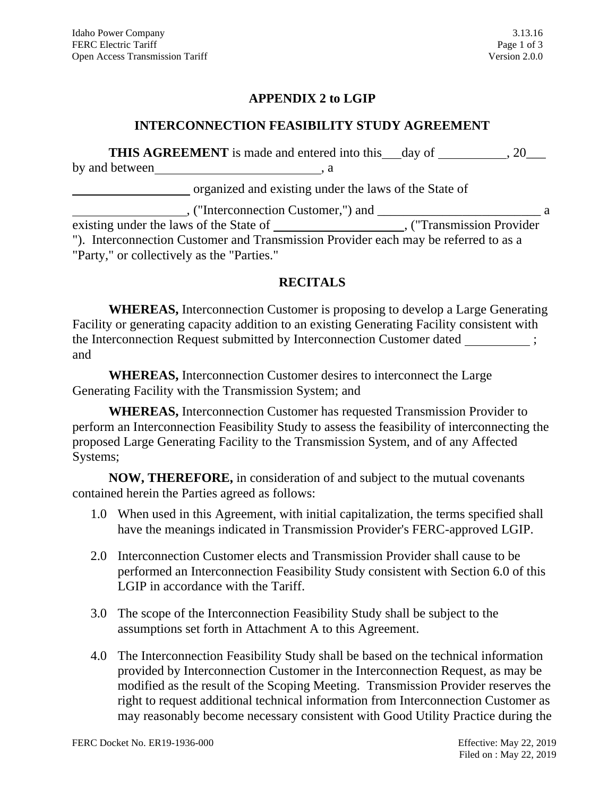### **APPENDIX 2 to LGIP**

#### **INTERCONNECTION FEASIBILITY STUDY AGREEMENT**

|                | <b>THIS AGREEMENT</b> is made and entered into this day of |  |
|----------------|------------------------------------------------------------|--|
| by and between |                                                            |  |
|                | organized and existing under the laws of the State of      |  |

| , ("Interconnection Customer,") and                                                 | Я |  |  |
|-------------------------------------------------------------------------------------|---|--|--|
| existing under the laws of the State of<br>, ("Transmission Provider"),             |   |  |  |
| "). Interconnection Customer and Transmission Provider each may be referred to as a |   |  |  |
| "Party," or collectively as the "Parties."                                          |   |  |  |

### **RECITALS**

**WHEREAS,** Interconnection Customer is proposing to develop a Large Generating Facility or generating capacity addition to an existing Generating Facility consistent with the Interconnection Request submitted by Interconnection Customer dated  $\cdot$ and

**WHEREAS,** Interconnection Customer desires to interconnect the Large Generating Facility with the Transmission System; and

**WHEREAS,** Interconnection Customer has requested Transmission Provider to perform an Interconnection Feasibility Study to assess the feasibility of interconnecting the proposed Large Generating Facility to the Transmission System, and of any Affected Systems;

**NOW, THEREFORE,** in consideration of and subject to the mutual covenants contained herein the Parties agreed as follows:

- 1.0 When used in this Agreement, with initial capitalization, the terms specified shall have the meanings indicated in Transmission Provider's FERC-approved LGIP.
- 2.0 Interconnection Customer elects and Transmission Provider shall cause to be performed an Interconnection Feasibility Study consistent with Section 6.0 of this LGIP in accordance with the Tariff.
- 3.0 The scope of the Interconnection Feasibility Study shall be subject to the assumptions set forth in Attachment A to this Agreement.
- 4.0 The Interconnection Feasibility Study shall be based on the technical information provided by Interconnection Customer in the Interconnection Request, as may be modified as the result of the Scoping Meeting. Transmission Provider reserves the right to request additional technical information from Interconnection Customer as may reasonably become necessary consistent with Good Utility Practice during the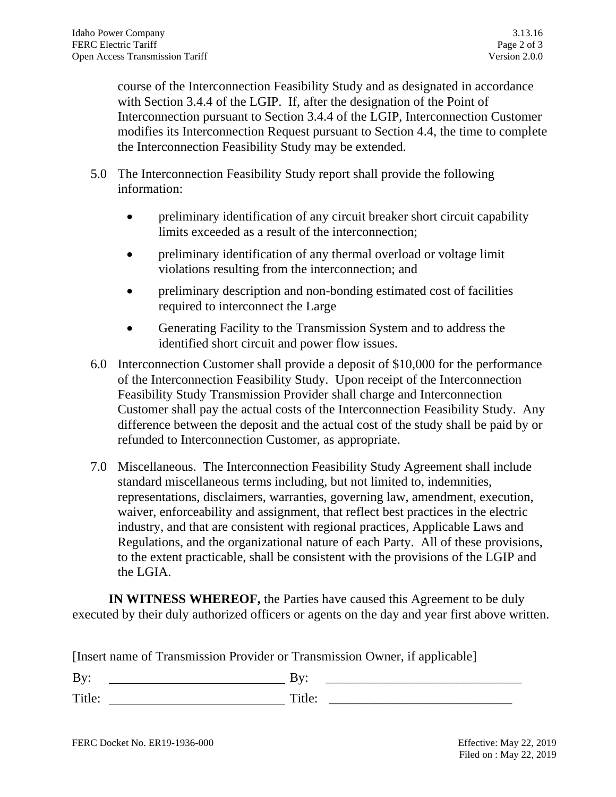course of the Interconnection Feasibility Study and as designated in accordance with Section 3.4.4 of the LGIP. If, after the designation of the Point of Interconnection pursuant to Section 3.4.4 of the LGIP, Interconnection Customer modifies its Interconnection Request pursuant to Section 4.4, the time to complete the Interconnection Feasibility Study may be extended.

- 5.0 The Interconnection Feasibility Study report shall provide the following information:
	- preliminary identification of any circuit breaker short circuit capability limits exceeded as a result of the interconnection;
	- preliminary identification of any thermal overload or voltage limit violations resulting from the interconnection; and
	- preliminary description and non-bonding estimated cost of facilities required to interconnect the Large
	- Generating Facility to the Transmission System and to address the identified short circuit and power flow issues.
- 6.0 Interconnection Customer shall provide a deposit of \$10,000 for the performance of the Interconnection Feasibility Study. Upon receipt of the Interconnection Feasibility Study Transmission Provider shall charge and Interconnection Customer shall pay the actual costs of the Interconnection Feasibility Study. Any difference between the deposit and the actual cost of the study shall be paid by or refunded to Interconnection Customer, as appropriate.
- 7.0 Miscellaneous. The Interconnection Feasibility Study Agreement shall include standard miscellaneous terms including, but not limited to, indemnities, representations, disclaimers, warranties, governing law, amendment, execution, waiver, enforceability and assignment, that reflect best practices in the electric industry, and that are consistent with regional practices, Applicable Laws and Regulations, and the organizational nature of each Party. All of these provisions, to the extent practicable, shall be consistent with the provisions of the LGIP and the LGIA.

**IN WITNESS WHEREOF,** the Parties have caused this Agreement to be duly executed by their duly authorized officers or agents on the day and year first above written.

[Insert name of Transmission Provider or Transmission Owner, if applicable]

By: By: \_\_\_\_\_\_\_\_\_\_\_\_\_\_\_\_\_\_\_\_\_\_\_\_\_\_\_\_\_\_

Title: Title: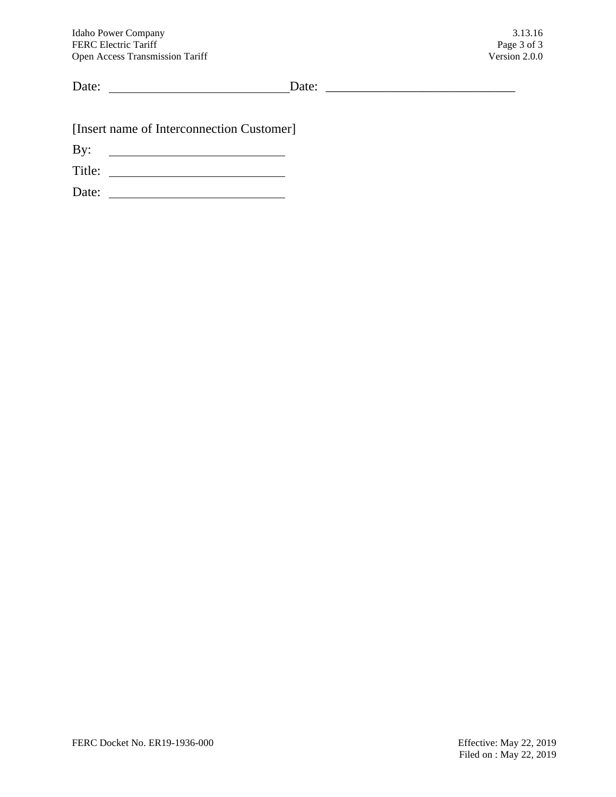Date: Date: \_\_\_\_\_\_\_\_\_\_\_\_\_\_\_\_\_\_\_\_\_\_\_\_\_\_\_\_\_

[Insert name of Interconnection Customer]

By:

Title:

Date: